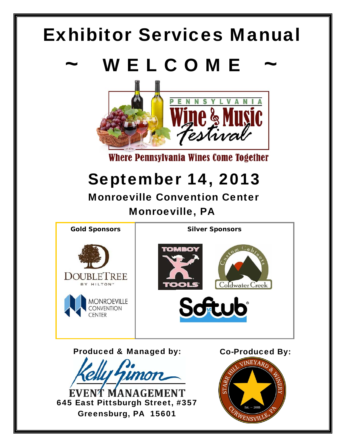# Exhibitor Services Manual

# WELCOME



Where Pennsylvania Wines Come Together

# September 14, 2013

 Monroeville Convention Center Monroeville, PA



Produced & Managed by:

MANAGEMENT 645 East Pittsburgh Street, #357 Greensburg, PA 15601

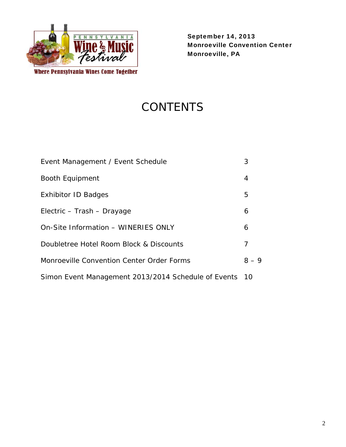

Where Pennsylvania Wines Come Together

September 14, 2013 Monroeville Convention Center Monroeville, PA

# **CONTENTS**

| Event Management / Event Schedule                   | 3       |
|-----------------------------------------------------|---------|
| <b>Booth Equipment</b>                              | 4       |
| Exhibitor ID Badges                                 | 5       |
| Electric – Trash – Drayage                          | 6       |
| On-Site Information - WINERIES ONLY                 | 6       |
| Doubletree Hotel Room Block & Discounts             | 7       |
| Monroeville Convention Center Order Forms           | $8 - 9$ |
| Simon Event Management 2013/2014 Schedule of Events | $-10$   |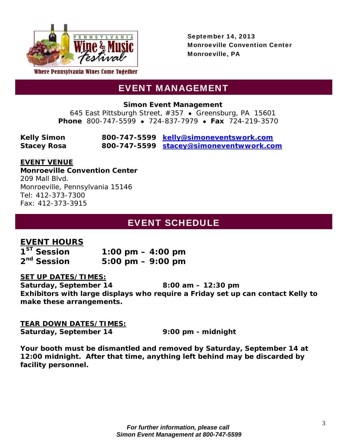

## EVENT MANAGEMENT

**Simon Event Management** 

645 East Pittsburgh Street, #357 · Greensburg, PA 15601 **Phone** 800-747-5599 • 724-837-7979 • Fax 724-219-3570

| <b>Kelly Simon</b> | 800-747-5599 kelly@simoneventswork.com  |
|--------------------|-----------------------------------------|
| <b>Stacey Rosa</b> | 800-747-5599 stacey@simoneventwwork.com |

### **EVENT VENUE**

**Monroeville Convention Center**  209 Mall Blvd. Monroeville, Pennsylvania 15146 Tel: 412-373-7300 Fax: 412-373-3915

## **EVENT SCHEDULE**

## **EVENT HOURS**

 $1^{57}$  Session 1:00 pm – 4:00 pm **2nd Session 5:00 pm – 9:00 pm** 

### **SET UP DATES/TIMES:**

**Saturday, September 14 8:00 am – 12:30 pm Exhibitors with large displays who require a Friday set up can contact Kelly to make these arrangements.** 

#### **TEAR DOWN DATES/TIMES:**

**Saturday, September 14 9:00 pm - midnight** 

*Your booth must be dismantled and removed by Saturday, September 14 at 12:00 midnight. After that time, anything left behind may be discarded by facility personnel.*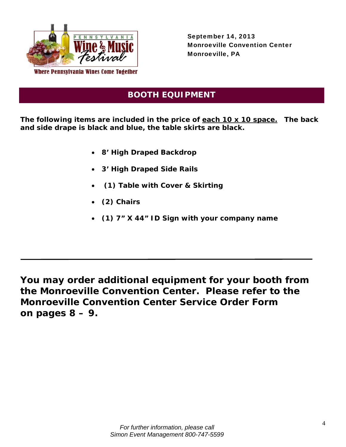

-

September 14, 2013 Monroeville Convention Center Monroeville, PA

## **BOOTH EQUIPMENT**

**The following items are included in the price of each 10 x 10 space. The back and side drape is black and blue, the table skirts are black.** 

- **8' High Draped Backdrop**
- **3' High Draped Side Rails**
- **(1) Table with Cover & Skirting**
- **(2) Chairs**
- **(1) 7" X 44" ID Sign with your company name**

**You may order additional equipment for your booth from the Monroeville Convention Center. Please refer to the Monroeville Convention Center Service Order Form on pages 8 – 9.**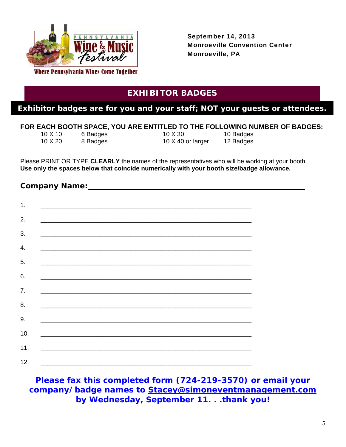

## **EXHIBITOR BADGES**

### **Exhibitor badges are for you and your staff; NOT your guests or attendees.**

#### **FOR EACH BOOTH SPACE, YOU ARE ENTITLED TO THE FOLLOWING NUMBER OF BADGES:**

| 10 X 10 | 6 Badges |
|---------|----------|
| 10 X 20 | 8 Badges |

10 X 30 10 Badges 10 X 40 or larger 12 Badges

Please PRINT OR TYPE **CLEARLY** the names of the representatives who will be working at your booth. **Use only the spaces below that coincide numerically with your booth size/badge allowance.**

| <u> 1999 - Jan Barbara, Amerikaansk politiker († 1958)</u>                                                           |  |  |
|----------------------------------------------------------------------------------------------------------------------|--|--|
|                                                                                                                      |  |  |
|                                                                                                                      |  |  |
|                                                                                                                      |  |  |
|                                                                                                                      |  |  |
| <u> 1989 - Jan Barbara, martxa al II-lea (h. 1989).</u>                                                              |  |  |
| <u> 1989 - Johann Stoff, amerikan bestein de stad in de stad in de stad in de stad in de stad in de stad in de s</u> |  |  |
|                                                                                                                      |  |  |
|                                                                                                                      |  |  |
| <u> 2000 - 2000 - 2000 - 2000 - 2000 - 2000 - 2000 - 2000 - 2000 - 2000 - 2000 - 2000 - 2000 - 2000 - 2000 - 200</u> |  |  |
|                                                                                                                      |  |  |
| <u> 1989 - Johann John Stone, Amerikaansk politiker (d. 1989)</u>                                                    |  |  |
|                                                                                                                      |  |  |
|                                                                                                                      |  |  |
|                                                                                                                      |  |  |

**Please fax this completed form (724-219-3570) or email your company/badge names to Stacey@simoneventmanagement.com by Wednesday, September 11. . .thank you!**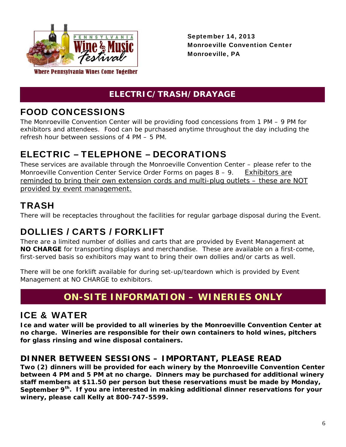

## **ELECTRIC/TRASH/DRAYAGE**

# FOOD CONCESSIONS

The Monroeville Convention Center will be providing food concessions from 1 PM – 9 PM for exhibitors and attendees. Food can be purchased anytime throughout the day including the refresh hour between sessions of 4 PM – 5 PM.

## ELECTRIC – TELEPHONE – DECORATIONS

These services are available through the Monroeville Convention Center – please refer to the Monroeville Convention Center Service Order Forms on pages 8 – 9. Exhibitors are reminded to bring their own extension cords and multi-plug outlets – these are NOT provided by event management.

## TRASH

There will be receptacles throughout the facilities for regular garbage disposal during the Event.

# DOLLIES / CARTS / FORKLIFT

There are a limited number of dollies and carts that are provided by Event Management at **NO CHARGE** for transporting displays and merchandise. These are available on a first-come, first-served basis so exhibitors may want to bring their own dollies and/or carts as well.

There will be one forklift available for during set-up/teardown which is provided by Event Management at NO CHARGE to exhibitors.

# **ON-SITE INFORMATION – WINERIES ONLY**

## ICE & WATER

**Ice and water will be provided to all wineries by the Monroeville Convention Center at no charge. Wineries are responsible for their own containers to hold wines, pitchers for glass rinsing and wine disposal containers.** 

## **DINNER BETWEEN SESSIONS – IMPORTANT, PLEASE READ**

**Two (2) dinners will be provided for each winery by the Monroeville Convention Center between 4 PM and 5 PM at no charge. Dinners may be purchased for additional winery staff members at \$11.50 per person but these reservations must be made by Monday, September 9th. If you are interested in making additional dinner reservations for your winery, please call Kelly at 800-747-5599.**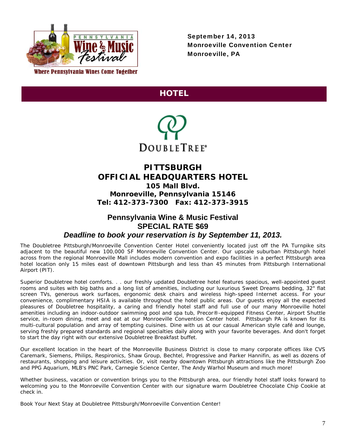

## **HOTEL**



#### **PITTSBURGH OFFICIAL HEADQUARTERS HOTEL 105 Mall Blvd.**

**Monroeville, Pennsylvania 15146 Tel: 412-373-7300 Fax: 412-373-3915** 

#### **Pennsylvania Wine & Music Festival SPECIAL RATE \$69**  *Deadline to book your reservation is by September 11, 2013.*

The Doubletree Pittsburgh/Monroeville Convention Center Hotel conveniently located just off the PA Turnpike sits adjacent to the beautiful new 100,000 SF Monroeville Convention Center. Our upscale suburban Pittsburgh hotel across from the regional Monroeville Mall includes modern convention and expo facilities in a perfect Pittsburgh area hotel location only 15 miles east of downtown Pittsburgh and less than 45 minutes from Pittsburgh International Airport (PIT).

Superior Doubletree hotel comforts. . . our freshly updated Doubletree hotel features spacious, well-appointed guest rooms and suites with big baths and a long list of amenities, including our luxurious Sweet Dreams bedding, 32" flat screen TVs, generous work surfaces, ergonomic desk chairs and wireless high-speed Internet access. For your convenience, complimentary HSIA is available throughout the hotel public areas. Our guests enjoy all the expected pleasures of Doubletree hospitality, a caring and friendly hotel staff and full use of our many Monroeville hotel amenities including an indoor-outdoor swimming pool and spa tub, Precor®-equipped Fitness Center, Airport Shuttle service, in-room dining, meet and eat at our Monroeville Convention Center hotel. Pittsburgh PA is known for its multi-cultural population and array of tempting cuisines. Dine with us at our casual American style café and lounge, serving freshly prepared standards and regional specialties daily along with your favorite beverages. And don't forget to start the day right with our extensive Doubletree Breakfast buffet.

Our excellent location in the heart of the Monroeville Business District is close to many corporate offices like CVS Caremark, Siemens, Philips, Respironics, Shaw Group, Bechtel, Progressive and Parker Hannifin, as well as dozens of restaurants, shopping and leisure activities. Or, visit nearby downtown Pittsburgh attractions like the Pittsburgh Zoo and PPG Aquarium, MLB's PNC Park, Carnegie Science Center, The Andy Warhol Museum and much more!

Whether business, vacation or convention brings you to the Pittsburgh area, our friendly hotel staff looks forward to welcoming you to the Monroeville Convention Center with our signature warm Doubletree Chocolate Chip Cookie at check in.

Book Your Next Stay at Doubletree Pittsburgh/Monroeville Convention Center!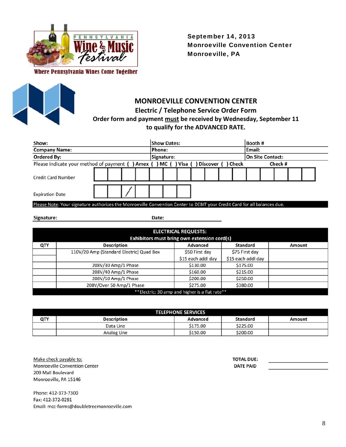



## **MONROEVILLE CONVENTION CENTER Electric / Telephone Service Order Form**

### **Order form and payment must be received by Wednesday, September 11 to qualify for the ADVANCED RATE.**

| Show:                                                                                                                    |                                |  |  |  |        | Booth #<br><b>Show Dates:</b> |                               |  |  |  |  |        |         |  |  |
|--------------------------------------------------------------------------------------------------------------------------|--------------------------------|--|--|--|--------|-------------------------------|-------------------------------|--|--|--|--|--------|---------|--|--|
| <b>Company Name:</b>                                                                                                     |                                |  |  |  | Phone: |                               |                               |  |  |  |  | Email: |         |  |  |
| <b>Ordered By:</b>                                                                                                       | On Site Contact:<br>Signature: |  |  |  |        |                               |                               |  |  |  |  |        |         |  |  |
| Please indicate your method of payment ( ) Amex ( ) MC (                                                                 |                                |  |  |  |        |                               | ) Visa ( ) Discover ( ) Check |  |  |  |  |        | Check # |  |  |
| <b>Credit Card Number</b>                                                                                                |                                |  |  |  |        |                               |                               |  |  |  |  |        |         |  |  |
| <b>Expiration Date</b>                                                                                                   |                                |  |  |  |        |                               |                               |  |  |  |  |        |         |  |  |
| Please Note: Your signature authorizes the Monroeville Convention Center to DEBIT your Credit Card for all balances due. |                                |  |  |  |        |                               |                               |  |  |  |  |        |         |  |  |
|                                                                                                                          |                                |  |  |  |        |                               |                               |  |  |  |  |        |         |  |  |

Signature:

Date:

|     | <b>ELECTRICAL REQUESTS:</b>              |                                                |                    |        |  |  |  |  |  |
|-----|------------------------------------------|------------------------------------------------|--------------------|--------|--|--|--|--|--|
|     |                                          | Exhibitors must bring own extension cord(s)    |                    |        |  |  |  |  |  |
| QTY | <b>Description</b>                       | Advanced                                       | Standard           | Amount |  |  |  |  |  |
|     | 110V/20 Amp (Standard Electric) Quad Box | \$50 First day                                 | \$75 First day     |        |  |  |  |  |  |
|     |                                          | \$15 each addl day                             | \$15 each addl day |        |  |  |  |  |  |
|     | 208V/30 Amp/1 Phase                      | \$130.00                                       | \$175.00           |        |  |  |  |  |  |
|     | 208V/40 Amp/1 Phase                      | \$160.00                                       | \$215.00           |        |  |  |  |  |  |
|     | 208V/50 Amp/1 Phase                      | \$200.00                                       | \$250.00           |        |  |  |  |  |  |
|     | 208V/Over 50 Amp/1 Phase                 | \$275.00                                       | \$380.00           |        |  |  |  |  |  |
|     |                                          | **Electric: 30 amp and higher is a flat rate** |                    |        |  |  |  |  |  |

|     | <b>TELEPHONE SERVICES</b> |          |          |        |  |  |  |  |  |
|-----|---------------------------|----------|----------|--------|--|--|--|--|--|
| QTY | <b>Description</b>        | Advanced | Standard | Amount |  |  |  |  |  |
|     | Data Line                 | \$175.00 | \$225.00 |        |  |  |  |  |  |
|     | Analog Line               | \$150.00 | \$200.00 |        |  |  |  |  |  |

Make check payable to: Monroeville Convention Center 209 Mall Boulevard Monroeville, PA 15146

Phone: 412-373-7300 Fax: 412-372-0291 Email: mcc-forms@doubletreemonroeville.com **TOTAL DUE: DATE PAID**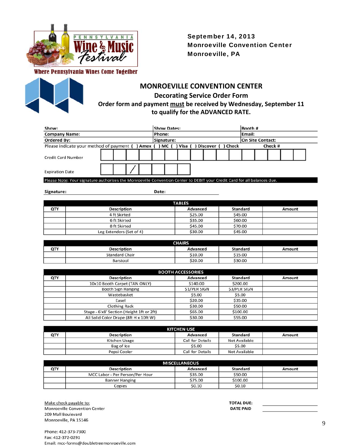

Where Pennsylvania Wines Come Together



#### **MONROEVILLE CONVENTION CENTER Decorating Service Order Form Order form and payment must be received by Wednesday, September 11 to qualify for the ADVANCED RATE.**

| Show:                                            |  |  |  |  |                                | Booth #<br><b>Show Dates:</b> |  |                   |  |  |  |         |  |  |  |  |  |
|--------------------------------------------------|--|--|--|--|--------------------------------|-------------------------------|--|-------------------|--|--|--|---------|--|--|--|--|--|
| <b>Company Name:</b>                             |  |  |  |  | Phone:                         |                               |  |                   |  |  |  | Email:  |  |  |  |  |  |
| <b>Ordered By:</b>                               |  |  |  |  | On Site Contact:<br>Signature: |                               |  |                   |  |  |  |         |  |  |  |  |  |
| Please indicate your method of payment () Amex ( |  |  |  |  | MC (                           | ) Visa (                      |  | Discover () Check |  |  |  | Check # |  |  |  |  |  |
| <b>Credit Card Number</b>                        |  |  |  |  |                                |                               |  |                   |  |  |  |         |  |  |  |  |  |
| <b>Expiration Date</b>                           |  |  |  |  |                                |                               |  |                   |  |  |  |         |  |  |  |  |  |

Please Note: Your signature authorizes the Monroeville Convention Center to DEBIT your Credit Card for all balances due.

Signature:

Date:

|     | <b>TABLES</b>            |          |                 |        |  |  |  |
|-----|--------------------------|----------|-----------------|--------|--|--|--|
| QTY | <b>Description</b>       | Advanced | <b>Standard</b> | Amount |  |  |  |
|     | 4 ft Skirted             | \$25.00  | \$45.00         |        |  |  |  |
|     | 6 ft Skirted             | \$35.00  | \$60.00         |        |  |  |  |
|     | 8 ft Skirted             | \$45.00  | \$70.00         |        |  |  |  |
|     | Leg Extenders (Set of 4) | \$30.00  | \$45.00         |        |  |  |  |

| <b>CHAIRS</b> |                       |          |                 |        |  |  |  |
|---------------|-----------------------|----------|-----------------|--------|--|--|--|
| QTY           | <b>Description</b>    | Advanced | <b>Standard</b> | Amount |  |  |  |
|               | <b>Standard Chair</b> | \$10.00  | \$15.00         |        |  |  |  |
|               | Barstool              | \$20.00  | \$30.00         |        |  |  |  |

|     | <b>BOOTH ACCESSORIES</b>                  |                    |              |        |  |  |  |  |
|-----|-------------------------------------------|--------------------|--------------|--------|--|--|--|--|
| QTY | <b>Description</b>                        | Advanced           | Standard     | Amount |  |  |  |  |
|     | 10x10 Booth Carpet (TAN ONLY)             | \$140.00           | \$200.00     |        |  |  |  |  |
|     | <b>Booth Sign Hanging</b>                 | <b>S1/PER SIGN</b> | \$3/PER SIGN |        |  |  |  |  |
|     | Wastebasket                               | \$5.00             | \$5.00       |        |  |  |  |  |
|     | Easel                                     | \$20.00            | \$35.00      |        |  |  |  |  |
|     | <b>Clothing Rack</b>                      | \$30.00            | \$50.00      |        |  |  |  |  |
|     | Stage - 6'x8' Section (Height 1ft or 2ft) | \$65.00            | \$100.00     |        |  |  |  |  |
|     | All Solid Color Drape (8ft H x 10ft W)    | \$30.00            | \$55.00      |        |  |  |  |  |

|     | <b>KITCHEN USE</b> |                         |               |        |  |  |  |  |
|-----|--------------------|-------------------------|---------------|--------|--|--|--|--|
| QTY | <b>Description</b> | Advanced                | Standard      | Amount |  |  |  |  |
|     | Kitchen Usage      | <b>Call for Details</b> | Not Available |        |  |  |  |  |
|     | Bag of Ice         | \$5.00                  | \$5.00        |        |  |  |  |  |
|     | Pepsi Cooler       | <b>Call for Details</b> | Not Available |        |  |  |  |  |

| <b>MISCELLANEOUS</b> |                                 |          |          |        |
|----------------------|---------------------------------|----------|----------|--------|
| QTY                  | <b>Description</b>              | Advanced | Standard | Amount |
|                      | MCC Labor - Per Person/Per Hour | \$35.00  | \$50.00  |        |
|                      | <b>Banner Hanging</b>           | \$75.00  | \$100.00 |        |
|                      | Copies                          | \$0.10   | \$0.10   |        |

Make check payable to: Monroeville Convention Center 209 Mall Boulevard Monroeville, PA 15146

**TOTAL DUE: DATE PAID**